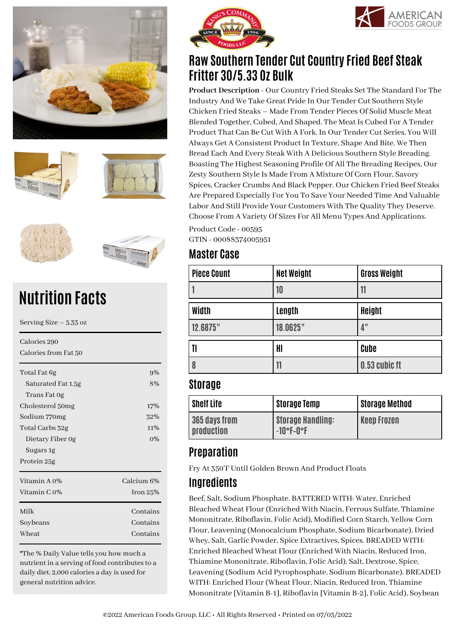







# **Nutrition Facts**

| Serving Size $-5.33$ oz              |            |  |
|--------------------------------------|------------|--|
| Calories 290<br>Calories from Fat 50 |            |  |
| Total Fat 6g                         | 9%         |  |
| Saturated Fat 1.5g                   | 8%         |  |
| Trans Fat Og                         |            |  |
| Cholesterol 50mg                     | 17%        |  |
| Sodium 770mg                         | 32%        |  |
| Total Carbs 32g                      | 11%        |  |
| Dietary Fiber 0g                     | $0\%$      |  |
| Sugars 1g                            |            |  |
| Protein 25g                          |            |  |
| Vitamin A 0%                         | Calcium 6% |  |
| Vitamin C 0%                         | Iron $25%$ |  |
| Milk                                 | Contains   |  |
| Soybeans                             | Contains   |  |
| Wheat                                | Contains   |  |
|                                      |            |  |

\*The % Daily Value tells you how much a nutrient in a serving of food contributes to a daily diet. 2,000 calories a day is used for general nutrition advice.





# **Raw Southern Tender Cut Country Fried Beef Steak Fritter 30/5.33 Oz Bulk**

**Product Description** - Our Country Fried Steaks Set The Standard For The Industry And We Take Great Pride In Our Tender Cut Southern Style Chicken Fried Steaks – Made From Tender Pieces Of Solid Muscle Meat Blended Together, Cubed, And Shaped. The Meat Is Cubed For A Tender Product That Can Be Cut With A Fork. In Our Tender Cut Series, You Will Always Get A Consistent Product In Texture, Shape And Bite. We Then Bread Each And Every Steak With A Delicious Southern Style Breading. Boasting The Highest Seasoning Profile Of All The Breading Recipes, Our Zesty Southern Style Is Made From A Mixture Of Corn Flour, Savory Spices, Cracker Crumbs And Black Pepper. Our Chicken Fried Beef Steaks Are Prepared Especially For You To Save Your Needed Time And Valuable Labor And Still Provide Your Customers With The Quality They Deserve. Choose From A Variety Of Sizes For All Menu Types And Applications.

Product Code - 00595 GTIN - 00088374005951

## **Master Case**

| <b>Net Weight</b> | <b>Gross Weight</b> |
|-------------------|---------------------|
| 10                | 11                  |
| Length            | <b>Height</b>       |
| 18.0625"          | 4"                  |
| HI                | Cube                |
| 11                | 0.53 cubic ft       |
|                   |                     |

#### **Storage**

| Shelf Life                  | <b>Storage Temp</b>                      | <b>Storage Method</b> |
|-----------------------------|------------------------------------------|-----------------------|
| 365 days from<br>production | <b>Storage Handling:</b><br>$-10$ °F-0°F | <b>Keep Frozen</b>    |

# **Preparation**

Fry At 350'F Until Golden Brown And Product Floats

## **Ingredients**

Beef, Salt, Sodium Phosphate. BATTERED WITH: Water, Enriched Bleached Wheat Flour (Enriched With Niacin, Ferrous Sulfate, Thiamine Mononitrate, Riboflavin, Folic Acid), Modified Corn Starch, Yellow Corn Flour, Leavening (Monocalcium Phosphate, Sodium Bicarbonate), Dried Whey, Salt, Garlic Powder, Spice Extractives, Spices. BREADED WITH: Enriched Bleached Wheat Flour (Enriched With Niacin, Reduced Iron, Thiamine Mononitrate, Riboflavin, Folic Acid), Salt, Dextrose, Spice, Leavening (Sodium Acid Pyrophosphate, Sodium Bicarbonate). BREADED WITH: Enriched Flour (Wheat Flour, Niacin, Reduced Iron, Thiamine Mononitrate [Vitamin B-1], Riboflavin [Vitamin B-2], Folic Acid), Soybean